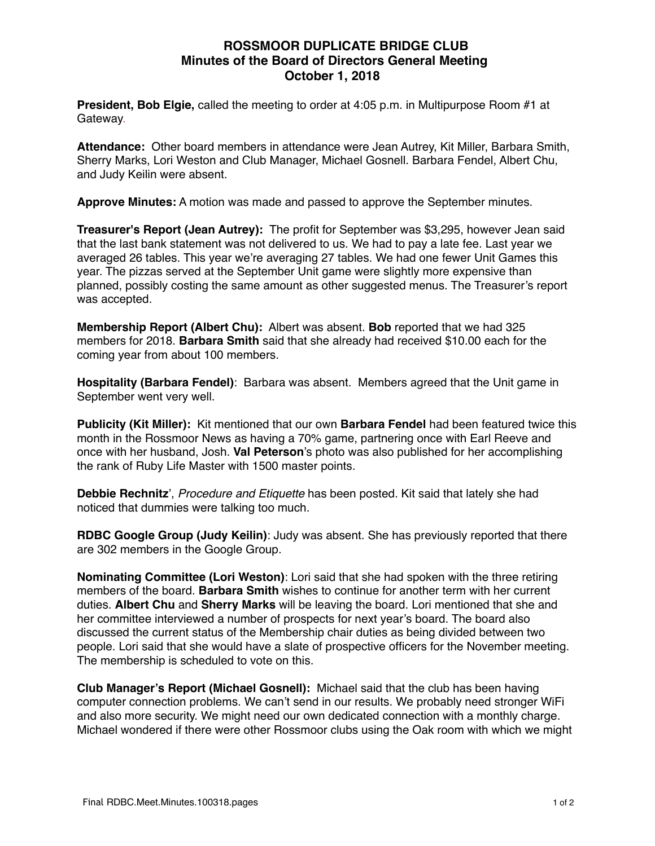## **ROSSMOOR DUPLICATE BRIDGE CLUB Minutes of the Board of Directors General Meeting October 1, 2018**

**President, Bob Elgie,** called the meeting to order at 4:05 p.m. in Multipurpose Room #1 at Gateway.

**Attendance:** Other board members in attendance were Jean Autrey, Kit Miller, Barbara Smith, Sherry Marks, Lori Weston and Club Manager, Michael Gosnell. Barbara Fendel, Albert Chu, and Judy Keilin were absent.

**Approve Minutes:** A motion was made and passed to approve the September minutes.

**Treasurer's Report (Jean Autrey):** The profit for September was \$3,295, however Jean said that the last bank statement was not delivered to us. We had to pay a late fee. Last year we averaged 26 tables. This year we're averaging 27 tables. We had one fewer Unit Games this year. The pizzas served at the September Unit game were slightly more expensive than planned, possibly costing the same amount as other suggested menus. The Treasurer's report was accepted.

**Membership Report (Albert Chu):** Albert was absent. **Bob** reported that we had 325 members for 2018. **Barbara Smith** said that she already had received \$10.00 each for the coming year from about 100 members.

**Hospitality (Barbara Fendel)**: Barbara was absent. Members agreed that the Unit game in September went very well.

**Publicity (Kit Miller):** Kit mentioned that our own **Barbara Fendel** had been featured twice this month in the Rossmoor News as having a 70% game, partnering once with Earl Reeve and once with her husband, Josh. **Val Peterson**'s photo was also published for her accomplishing the rank of Ruby Life Master with 1500 master points.

**Debbie Rechnitz**', *Procedure and Etiquette* has been posted*.* Kit said that lately she had noticed that dummies were talking too much.

**RDBC Google Group (Judy Keilin)**: Judy was absent. She has previously reported that there are 302 members in the Google Group.

**Nominating Committee (Lori Weston)**: Lori said that she had spoken with the three retiring members of the board. **Barbara Smith** wishes to continue for another term with her current duties. **Albert Chu** and **Sherry Marks** will be leaving the board. Lori mentioned that she and her committee interviewed a number of prospects for next year's board. The board also discussed the current status of the Membership chair duties as being divided between two people. Lori said that she would have a slate of prospective officers for the November meeting. The membership is scheduled to vote on this.

**Club Manager's Report (Michael Gosnell):** Michael said that the club has been having computer connection problems. We can't send in our results. We probably need stronger WiFi and also more security. We might need our own dedicated connection with a monthly charge. Michael wondered if there were other Rossmoor clubs using the Oak room with which we might